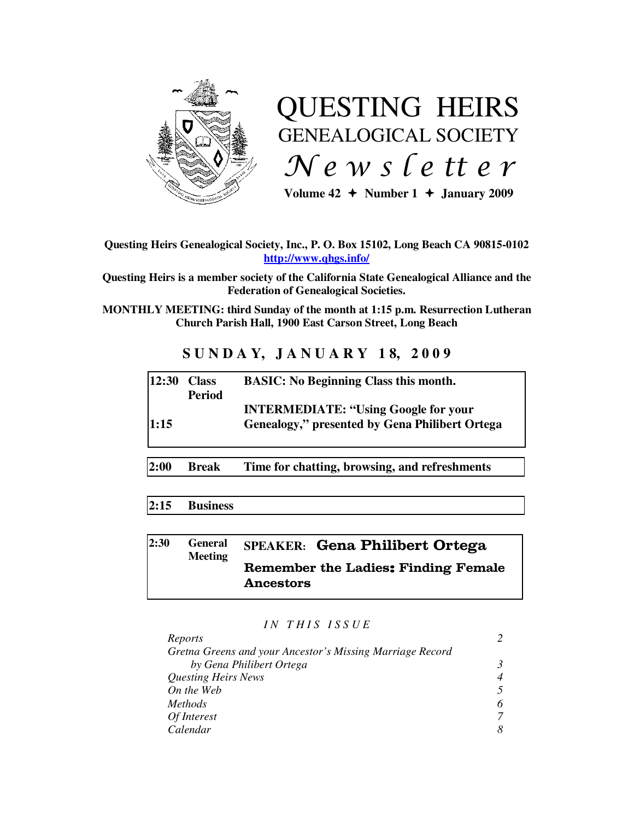

# QUESTING HEIRS GENEALOGICAL SOCIETY  $Ne$  w s letter

Volume  $42 \div \text{Number 1} \div \text{January } 2009$ 

## **Questing Heirs Genealogical Society, Inc., P. O. Box 15102, Long Beach CA 90815-0102 http://www.qhgs.info/**

**Questing Heirs is a member society of the California State Genealogical Alliance and the Federation of Genealogical Societies.** 

**MONTHLY MEETING: third Sunday of the month at 1:15 p.m. Resurrection Lutheran Church Parish Hall, 1900 East Carson Street, Long Beach** 

# **S U N D A Y, J A N U A R Y 1 8, 2 0 0 9**

| $12:30$ Class | <b>Period</b> | <b>BASIC:</b> No Beginning Class this month.                                                  |
|---------------|---------------|-----------------------------------------------------------------------------------------------|
| 1:15          |               | <b>INTERMEDIATE: "Using Google for your</b><br>Genealogy," presented by Gena Philibert Ortega |

**2:00 Break Time for chatting, browsing, and refreshments** 

# **2:15 Business**

#### **2:30 General Meeting SPEAKER:** Gena Philibert Ortega Remember the Ladies: Finding Female Ancestors

#### *I N T H I S I S S U E*

| Reports                                                   |  |
|-----------------------------------------------------------|--|
| Gretna Greens and your Ancestor's Missing Marriage Record |  |
| by Gena Philibert Ortega                                  |  |
| <b>Questing Heirs News</b>                                |  |
| On the Web                                                |  |
| <i>Methods</i>                                            |  |
| Of Interest                                               |  |
| Calendar                                                  |  |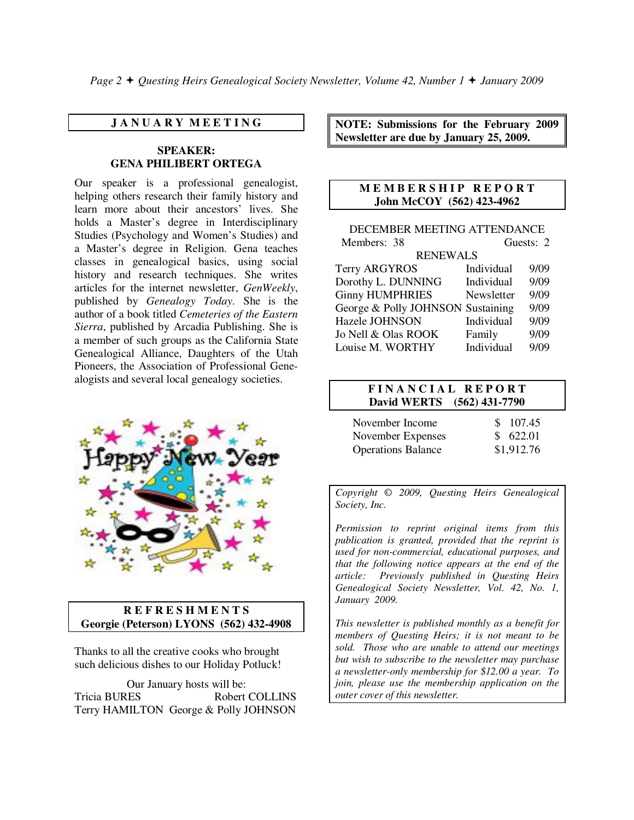*Page 2* **←** *Questing Heirs Genealogical Society Newsletter, Volume 42, Number 1 ← January 2009* 

#### **J A N U A R Y M E E T I N G**

#### **SPEAKER: GENA PHILIBERT ORTEGA**

Our speaker is a professional genealogist, helping others research their family history and learn more about their ancestors' lives. She holds a Master's degree in Interdisciplinary Studies (Psychology and Women's Studies) and a Master's degree in Religion. Gena teaches classes in genealogical basics, using social history and research techniques. She writes articles for the internet newsletter, *GenWeekly*, published by *Genealogy Today*. She is the author of a book titled *Cemeteries of the Eastern Sierra*, published by Arcadia Publishing. She is a member of such groups as the California State Genealogical Alliance, Daughters of the Utah Pioneers, the Association of Professional Genealogists and several local genealogy societies.



#### **R E F R E S H M E N T S Georgie (Peterson) LYONS (562) 432-4908**

Thanks to all the creative cooks who brought such delicious dishes to our Holiday Potluck!

Our January hosts will be: Tricia BURES Robert COLLINS Terry HAMILTON George & Polly JOHNSON **NOTE: Submissions for the February 2009 Newsletter are due by January 25, 2009.** 

#### **M E M B E R S H I P R E P O R T John McCOY (562) 423-4962**

| DECEMBER MEETING ATTENDANCE       |            |      |  |  |
|-----------------------------------|------------|------|--|--|
| Members: 38                       | Guests: 2  |      |  |  |
| <b>RENEWALS</b>                   |            |      |  |  |
| <b>Terry ARGYROS</b>              | Individual | 9/09 |  |  |
| Dorothy L. DUNNING                | Individual | 9/09 |  |  |
| <b>Ginny HUMPHRIES</b>            | Newsletter | 9/09 |  |  |
| George & Polly JOHNSON Sustaining |            | 9/09 |  |  |
| <b>Hazele JOHNSON</b>             | Individual | 9/09 |  |  |
| Jo Nell & Olas ROOK               | Family     | 9/09 |  |  |
| Louise M. WORTHY                  | Individual | 9/09 |  |  |

#### **F I N A N C I A L R E P O R T David WERTS (562) 431-7790**

| November Income           | \$107.45   |
|---------------------------|------------|
| November Expenses         | \$622.01   |
| <b>Operations Balance</b> | \$1,912.76 |

*Copyright* © *2009, Questing Heirs Genealogical Society, Inc.* 

*Permission to reprint original items from this publication is granted, provided that the reprint is used for non-commercial, educational purposes, and that the following notice appears at the end of the article: Previously published in Questing Heirs Genealogical Society Newsletter, Vol. 42, No. 1, January 2009.* 

*This newsletter is published monthly as a benefit for members of Questing Heirs; it is not meant to be sold. Those who are unable to attend our meetings but wish to subscribe to the newsletter may purchase a newsletter-only membership for \$12.00 a year. To join, please use the membership application on the outer cover of this newsletter.*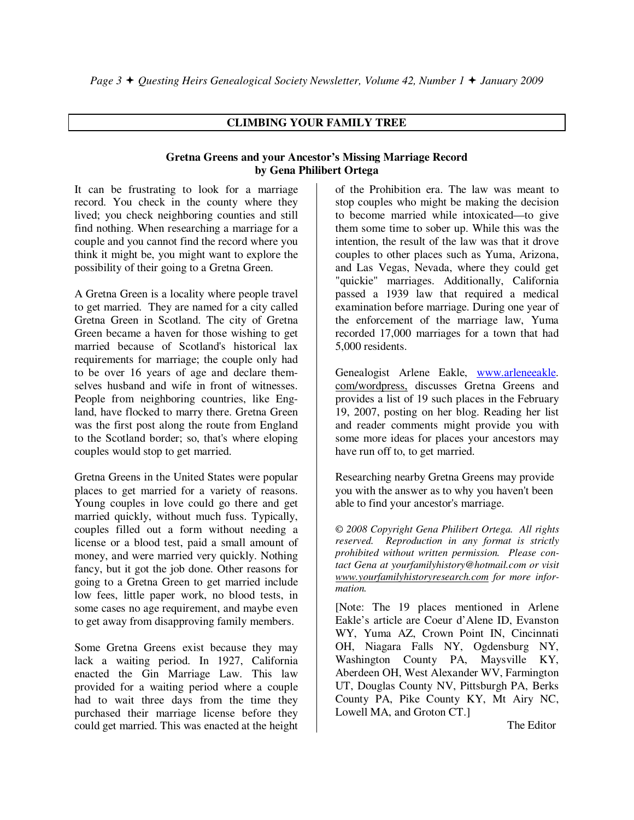# **CLIMBING YOUR FAMILY TREE**

## **Gretna Greens and your Ancestor's Missing Marriage Record by Gena Philibert Ortega**

It can be frustrating to look for a marriage record. You check in the county where they lived; you check neighboring counties and still find nothing. When researching a marriage for a couple and you cannot find the record where you think it might be, you might want to explore the possibility of their going to a Gretna Green.

A Gretna Green is a locality where people travel to get married. They are named for a city called Gretna Green in Scotland. The city of Gretna Green became a haven for those wishing to get married because of Scotland's historical lax requirements for marriage; the couple only had to be over 16 years of age and declare themselves husband and wife in front of witnesses. People from neighboring countries, like England, have flocked to marry there. Gretna Green was the first post along the route from England to the Scotland border; so, that's where eloping couples would stop to get married.

Gretna Greens in the United States were popular places to get married for a variety of reasons. Young couples in love could go there and get married quickly, without much fuss. Typically, couples filled out a form without needing a license or a blood test, paid a small amount of money, and were married very quickly. Nothing fancy, but it got the job done. Other reasons for going to a Gretna Green to get married include low fees, little paper work, no blood tests, in some cases no age requirement, and maybe even to get away from disapproving family members.

Some Gretna Greens exist because they may lack a waiting period. In 1927, California enacted the Gin Marriage Law. This law provided for a waiting period where a couple had to wait three days from the time they purchased their marriage license before they could get married. This was enacted at the height

of the Prohibition era. The law was meant to stop couples who might be making the decision to become married while intoxicated—to give them some time to sober up. While this was the intention, the result of the law was that it drove couples to other places such as Yuma, Arizona, and Las Vegas, Nevada, where they could get "quickie" marriages. Additionally, California passed a 1939 law that required a medical examination before marriage. During one year of the enforcement of the marriage law, Yuma recorded 17,000 marriages for a town that had 5,000 residents.

Genealogist Arlene Eakle, www.arleneeakle. com/wordpress, discusses Gretna Greens and provides a list of 19 such places in the February 19, 2007, posting on her blog. Reading her list and reader comments might provide you with some more ideas for places your ancestors may have run off to, to get married.

Researching nearby Gretna Greens may provide you with the answer as to why you haven't been able to find your ancestor's marriage.

*© 2008 Copyright Gena Philibert Ortega. All rights reserved. Reproduction in any format is strictly prohibited without written permission. Please contact Gena at yourfamilyhistory@hotmail.com or visit www.yourfamilyhistoryresearch.com for more information.* 

[Note: The 19 places mentioned in Arlene Eakle's article are Coeur d'Alene ID, Evanston WY, Yuma AZ, Crown Point IN, Cincinnati OH, Niagara Falls NY, Ogdensburg NY, Washington County PA, Maysville KY, Aberdeen OH, West Alexander WV, Farmington UT, Douglas County NV, Pittsburgh PA, Berks County PA, Pike County KY, Mt Airy NC, Lowell MA, and Groton CT.]

The Editor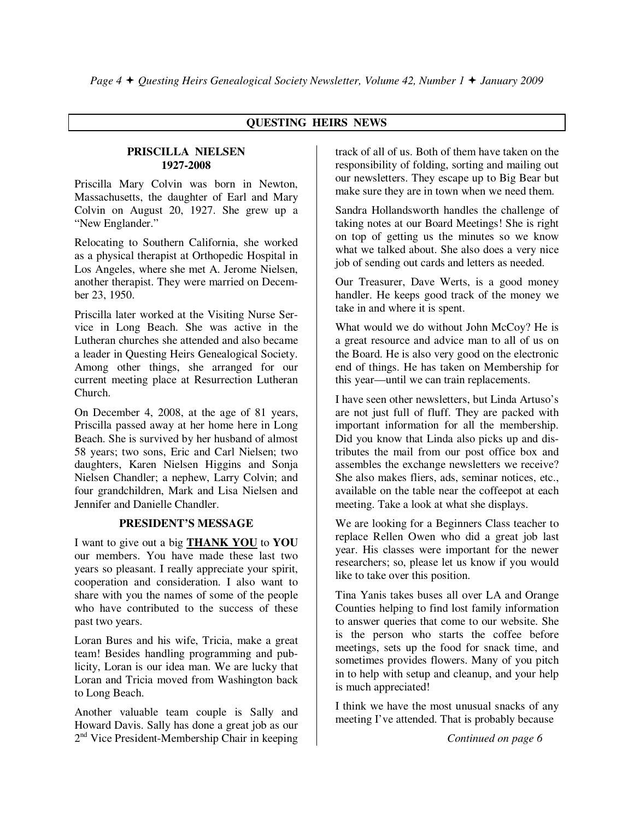# **QUESTING HEIRS NEWS**

#### **PRISCILLA NIELSEN 1927-2008**

Priscilla Mary Colvin was born in Newton, Massachusetts, the daughter of Earl and Mary Colvin on August 20, 1927. She grew up a "New Englander."

Relocating to Southern California, she worked as a physical therapist at Orthopedic Hospital in Los Angeles, where she met A. Jerome Nielsen, another therapist. They were married on December 23, 1950.

Priscilla later worked at the Visiting Nurse Service in Long Beach. She was active in the Lutheran churches she attended and also became a leader in Questing Heirs Genealogical Society. Among other things, she arranged for our current meeting place at Resurrection Lutheran Church.

On December 4, 2008, at the age of 81 years, Priscilla passed away at her home here in Long Beach. She is survived by her husband of almost 58 years; two sons, Eric and Carl Nielsen; two daughters, Karen Nielsen Higgins and Sonja Nielsen Chandler; a nephew, Larry Colvin; and four grandchildren, Mark and Lisa Nielsen and Jennifer and Danielle Chandler.

# **PRESIDENT'S MESSAGE**

I want to give out a big **THANK YOU** to **YOU** our members. You have made these last two years so pleasant. I really appreciate your spirit, cooperation and consideration. I also want to share with you the names of some of the people who have contributed to the success of these past two years.

Loran Bures and his wife, Tricia, make a great team! Besides handling programming and publicity, Loran is our idea man. We are lucky that Loran and Tricia moved from Washington back to Long Beach.

Another valuable team couple is Sally and Howard Davis. Sally has done a great job as our 2<sup>nd</sup> Vice President-Membership Chair in keeping track of all of us. Both of them have taken on the responsibility of folding, sorting and mailing out our newsletters. They escape up to Big Bear but make sure they are in town when we need them.

Sandra Hollandsworth handles the challenge of taking notes at our Board Meetings! She is right on top of getting us the minutes so we know what we talked about. She also does a very nice job of sending out cards and letters as needed.

Our Treasurer, Dave Werts, is a good money handler. He keeps good track of the money we take in and where it is spent.

What would we do without John McCoy? He is a great resource and advice man to all of us on the Board. He is also very good on the electronic end of things. He has taken on Membership for this year—until we can train replacements.

I have seen other newsletters, but Linda Artuso's are not just full of fluff. They are packed with important information for all the membership. Did you know that Linda also picks up and distributes the mail from our post office box and assembles the exchange newsletters we receive? She also makes fliers, ads, seminar notices, etc., available on the table near the coffeepot at each meeting. Take a look at what she displays.

We are looking for a Beginners Class teacher to replace Rellen Owen who did a great job last year. His classes were important for the newer researchers; so, please let us know if you would like to take over this position.

Tina Yanis takes buses all over LA and Orange Counties helping to find lost family information to answer queries that come to our website. She is the person who starts the coffee before meetings, sets up the food for snack time, and sometimes provides flowers. Many of you pitch in to help with setup and cleanup, and your help is much appreciated!

I think we have the most unusual snacks of any meeting I've attended. That is probably because

*Continued on page 6*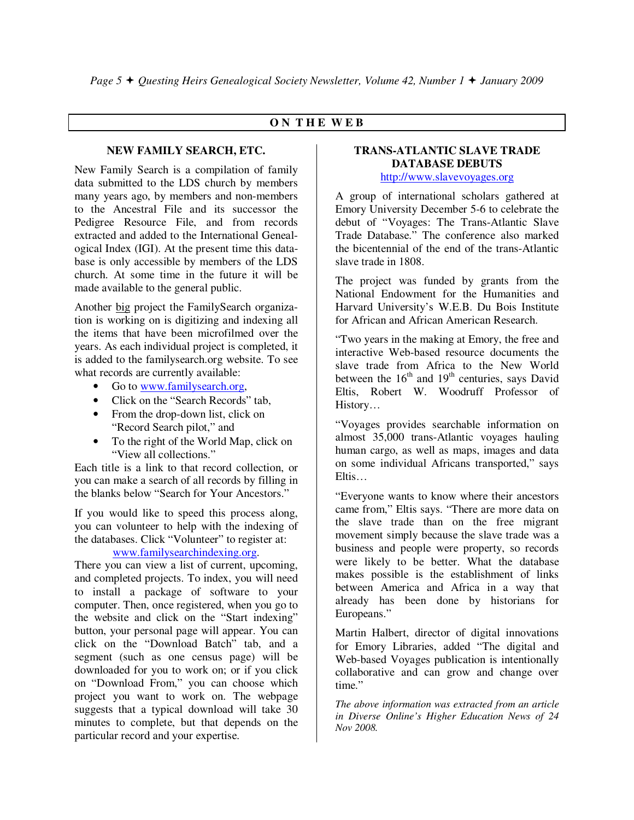## **O N T H E W E B**

#### **NEW FAMILY SEARCH, ETC.**

New Family Search is a compilation of family data submitted to the LDS church by members many years ago, by members and non-members to the Ancestral File and its successor the Pedigree Resource File, and from records extracted and added to the International Genealogical Index (IGI). At the present time this database is only accessible by members of the LDS church. At some time in the future it will be made available to the general public.

Another big project the FamilySearch organization is working on is digitizing and indexing all the items that have been microfilmed over the years. As each individual project is completed, it is added to the familysearch.org website. To see what records are currently available:

- Go to www.familysearch.org,
- Click on the "Search Records" tab.
- From the drop-down list, click on "Record Search pilot," and
- To the right of the World Map, click on "View all collections."

Each title is a link to that record collection, or you can make a search of all records by filling in the blanks below "Search for Your Ancestors."

If you would like to speed this process along, you can volunteer to help with the indexing of the databases. Click "Volunteer" to register at:

# www.familysearchindexing.org.

There you can view a list of current, upcoming, and completed projects. To index, you will need to install a package of software to your computer. Then, once registered, when you go to the website and click on the "Start indexing" button, your personal page will appear. You can click on the "Download Batch" tab, and a segment (such as one census page) will be downloaded for you to work on; or if you click on "Download From," you can choose which project you want to work on. The webpage suggests that a typical download will take 30 minutes to complete, but that depends on the particular record and your expertise.

# **TRANS-ATLANTIC SLAVE TRADE DATABASE DEBUTS**

http://www.slavevoyages.org

A group of international scholars gathered at Emory University December 5-6 to celebrate the debut of "Voyages: The Trans-Atlantic Slave Trade Database." The conference also marked the bicentennial of the end of the trans-Atlantic slave trade in 1808.

The project was funded by grants from the National Endowment for the Humanities and Harvard University's W.E.B. Du Bois Institute for African and African American Research.

"Two years in the making at Emory, the free and interactive Web-based resource documents the slave trade from Africa to the New World between the  $16<sup>th</sup>$  and  $19<sup>th</sup>$  centuries, says David Eltis, Robert W. Woodruff Professor of History…

"Voyages provides searchable information on almost 35,000 trans-Atlantic voyages hauling human cargo, as well as maps, images and data on some individual Africans transported," says Eltis…

"Everyone wants to know where their ancestors came from," Eltis says. "There are more data on the slave trade than on the free migrant movement simply because the slave trade was a business and people were property, so records were likely to be better. What the database makes possible is the establishment of links between America and Africa in a way that already has been done by historians for Europeans."

Martin Halbert, director of digital innovations for Emory Libraries, added "The digital and Web-based Voyages publication is intentionally collaborative and can grow and change over time."

*The above information was extracted from an article in Diverse Online's Higher Education News of 24 Nov 2008.*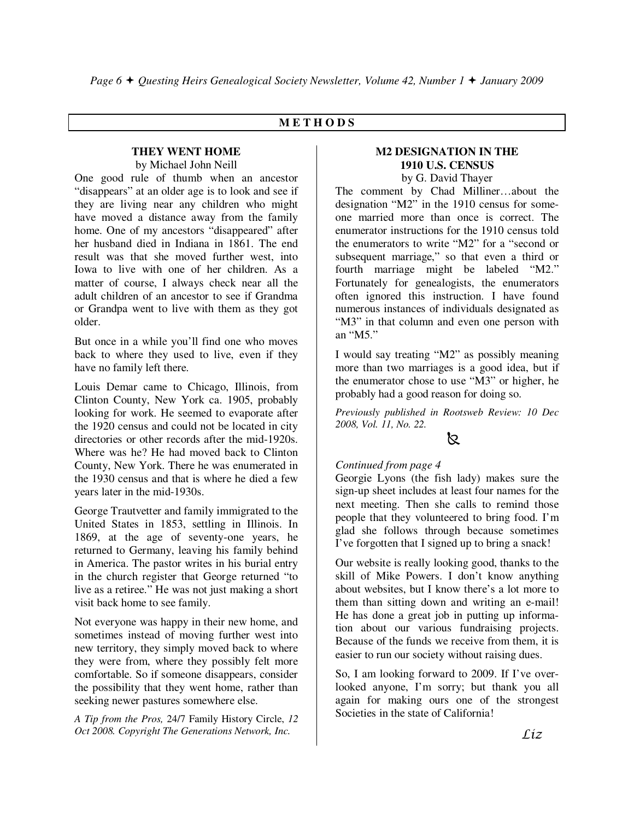# **M E T H O D S**

#### **THEY WENT HOME**  by Michael John Neill

One good rule of thumb when an ancestor "disappears" at an older age is to look and see if they are living near any children who might have moved a distance away from the family home. One of my ancestors "disappeared" after her husband died in Indiana in 1861. The end result was that she moved further west, into Iowa to live with one of her children. As a matter of course, I always check near all the adult children of an ancestor to see if Grandma or Grandpa went to live with them as they got older.

But once in a while you'll find one who moves back to where they used to live, even if they have no family left there.

Louis Demar came to Chicago, Illinois, from Clinton County, New York ca. 1905, probably looking for work. He seemed to evaporate after the 1920 census and could not be located in city directories or other records after the mid-1920s. Where was he? He had moved back to Clinton County, New York. There he was enumerated in the 1930 census and that is where he died a few years later in the mid-1930s.

George Trautvetter and family immigrated to the United States in 1853, settling in Illinois. In 1869, at the age of seventy-one years, he returned to Germany, leaving his family behind in America. The pastor writes in his burial entry in the church register that George returned "to live as a retiree." He was not just making a short visit back home to see family.

Not everyone was happy in their new home, and sometimes instead of moving further west into new territory, they simply moved back to where they were from, where they possibly felt more comfortable. So if someone disappears, consider the possibility that they went home, rather than seeking newer pastures somewhere else.

*A Tip from the Pros,* 24/7 Family History Circle, *12 Oct 2008. Copyright The Generations Network, Inc.* 

#### **M2 DESIGNATION IN THE 1910 U.S. CENSUS**  by G. David Thayer

The comment by Chad Milliner…about the designation "M2" in the 1910 census for someone married more than once is correct. The enumerator instructions for the 1910 census told the enumerators to write "M2" for a "second or subsequent marriage," so that even a third or fourth marriage might be labeled "M2." Fortunately for genealogists, the enumerators often ignored this instruction. I have found numerous instances of individuals designated as "M3" in that column and even one person with an "M5."

I would say treating "M2" as possibly meaning more than two marriages is a good idea, but if the enumerator chose to use "M3" or higher, he probably had a good reason for doing so.

*Previously published in Rootsweb Review: 10 Dec 2008, Vol. 11, No. 22.* 

# -

#### *Continued from page 4*

Georgie Lyons (the fish lady) makes sure the sign-up sheet includes at least four names for the next meeting. Then she calls to remind those people that they volunteered to bring food. I'm glad she follows through because sometimes I've forgotten that I signed up to bring a snack!

Our website is really looking good, thanks to the skill of Mike Powers. I don't know anything about websites, but I know there's a lot more to them than sitting down and writing an e-mail! He has done a great job in putting up information about our various fundraising projects. Because of the funds we receive from them, it is easier to run our society without raising dues.

So, I am looking forward to 2009. If I've overlooked anyone, I'm sorry; but thank you all again for making ours one of the strongest Societies in the state of California!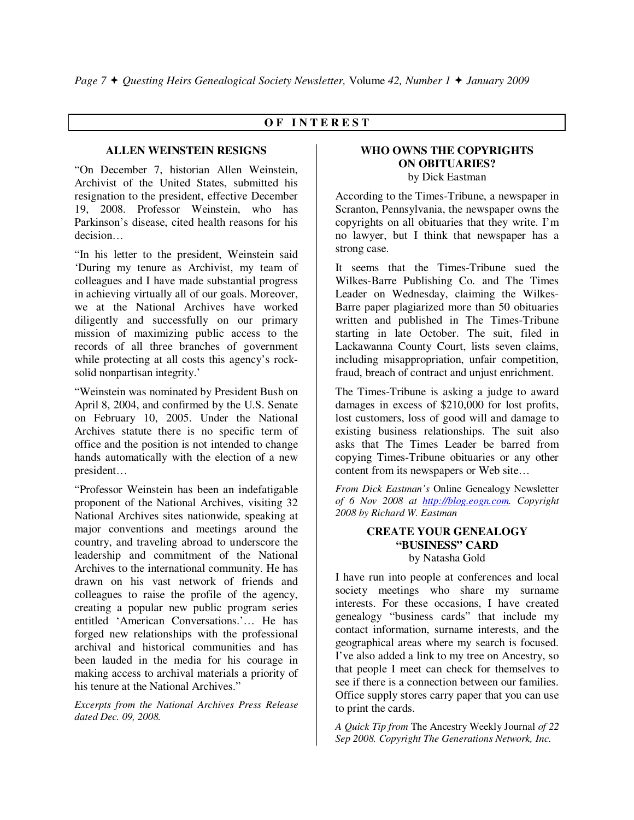# **O F I N T E R E S T**

#### **ALLEN WEINSTEIN RESIGNS**

"On December 7, historian Allen Weinstein, Archivist of the United States, submitted his resignation to the president, effective December 19, 2008. Professor Weinstein, who has Parkinson's disease, cited health reasons for his decision…

"In his letter to the president, Weinstein said 'During my tenure as Archivist, my team of colleagues and I have made substantial progress in achieving virtually all of our goals. Moreover, we at the National Archives have worked diligently and successfully on our primary mission of maximizing public access to the records of all three branches of government while protecting at all costs this agency's rocksolid nonpartisan integrity.'

"Weinstein was nominated by President Bush on April 8, 2004, and confirmed by the U.S. Senate on February 10, 2005. Under the National Archives statute there is no specific term of office and the position is not intended to change hands automatically with the election of a new president…

"Professor Weinstein has been an indefatigable proponent of the National Archives, visiting 32 National Archives sites nationwide, speaking at major conventions and meetings around the country, and traveling abroad to underscore the leadership and commitment of the National Archives to the international community. He has drawn on his vast network of friends and colleagues to raise the profile of the agency, creating a popular new public program series entitled 'American Conversations.'… He has forged new relationships with the professional archival and historical communities and has been lauded in the media for his courage in making access to archival materials a priority of his tenure at the National Archives."

*Excerpts from the National Archives Press Release dated Dec. 09, 2008.* 

#### **WHO OWNS THE COPYRIGHTS ON OBITUARIES?**  by Dick Eastman

According to the Times-Tribune, a newspaper in Scranton, Pennsylvania, the newspaper owns the copyrights on all obituaries that they write. I'm no lawyer, but I think that newspaper has a strong case.

It seems that the Times-Tribune sued the Wilkes-Barre Publishing Co. and The Times Leader on Wednesday, claiming the Wilkes-Barre paper plagiarized more than 50 obituaries written and published in The Times-Tribune starting in late October. The suit, filed in Lackawanna County Court, lists seven claims, including misappropriation, unfair competition, fraud, breach of contract and unjust enrichment.

The Times-Tribune is asking a judge to award damages in excess of \$210,000 for lost profits, lost customers, loss of good will and damage to existing business relationships. The suit also asks that The Times Leader be barred from copying Times-Tribune obituaries or any other content from its newspapers or Web site…

*From Dick Eastman's* Online Genealogy Newsletter *of 6 Nov 2008 at http://blog.eogn.com. Copyright 2008 by Richard W. Eastman* 

#### **CREATE YOUR GENEALOGY "BUSINESS" CARD**  by Natasha Gold

I have run into people at conferences and local society meetings who share my surname interests. For these occasions, I have created genealogy "business cards" that include my contact information, surname interests, and the geographical areas where my search is focused. I've also added a link to my tree on Ancestry, so that people I meet can check for themselves to see if there is a connection between our families. Office supply stores carry paper that you can use to print the cards.

*A Quick Tip from* The Ancestry Weekly Journal *of 22 Sep 2008. Copyright The Generations Network, Inc.*